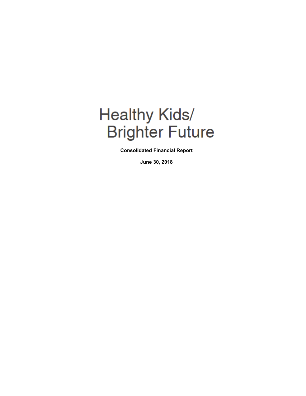# **Healthy Kids/ Brighter Future**

**Consolidated Financial Report** 

**June 30, 2018**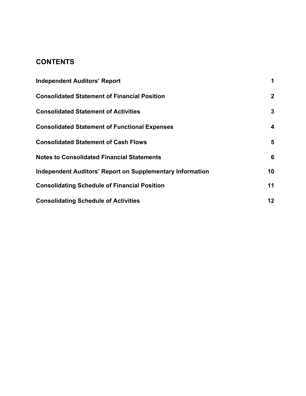# **CONTENTS**

| <b>Independent Auditors' Report</b>                              |              |
|------------------------------------------------------------------|--------------|
| <b>Consolidated Statement of Financial Position</b>              | $\mathbf{2}$ |
| <b>Consolidated Statement of Activities</b>                      | 3            |
| <b>Consolidated Statement of Functional Expenses</b>             | 4            |
| <b>Consolidated Statement of Cash Flows</b>                      | 5            |
| <b>Notes to Consolidated Financial Statements</b>                | 6            |
| <b>Independent Auditors' Report on Supplementary Information</b> | 10           |
| <b>Consolidating Schedule of Financial Position</b>              | 11           |
| <b>Consolidating Schedule of Activities</b>                      | 12           |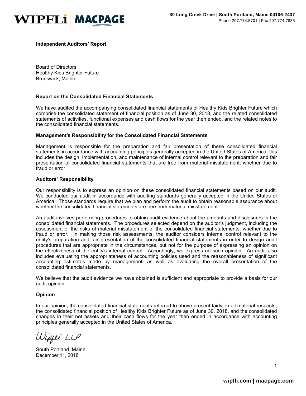

**Independent Auditors' Report** 

Board of Directors Healthy Kids Brighter Future Brunswick, Maine

#### **Report on the Consolidated Financial Statements**

We have audited the accompanying consolidated financial statements of Healthy Kids Brighter Future which comprise the consolidated statement of financial position as of June 30, 2018, and the related consolidated statements of activities, functional expenses and cash flows for the year then ended, and the related notes to the consolidated financial statements.

#### **Management's Responsibility for the Consolidated Financial Statements**

Management is responsible for the preparation and fair presentation of these consolidated financial statements in accordance with accounting principles generally accepted in the United States of America; this includes the design, implementation, and maintenance of internal control relevant to the preparation and fair presentation of consolidated financial statements that are free from material misstatement, whether due to fraud or error.

#### **Auditors' Responsibility**

Our responsibility is to express an opinion on these consolidated financial statements based on our audit. We conducted our audit in accordance with auditing standards generally accepted in the United States of America. Those standards require that we plan and perform the audit to obtain reasonable assurance about whether the consolidated financial statements are free from material misstatement.

An audit involves performing procedures to obtain audit evidence about the amounts and disclosures in the consolidated financial statements. The procedures selected depend on the auditor's judgment, including the assessment of the risks of material misstatement of the consolidated financial statements, whether due to fraud or error. In making those risk assessments, the auditor considers internal control relevant to the entity's preparation and fair presentation of the consolidated financial statements in order to design audit procedures that are appropriate in the circumstances, but not for the purpose of expressing an opinion on the effectiveness of the entity's internal control. Accordingly, we express no such opinion. An audit also includes evaluating the appropriateness of accounting policies used and the reasonableness of significant accounting estimates made by management, as well as evaluating the overall presentation of the consolidated financial statements.

We believe that the audit evidence we have obtained is sufficient and appropriate to provide a basis for our audit opinion.

#### **Opinion**

In our opinion, the consolidated financial statements referred to above present fairly, in all material respects, the consolidated financial position of Healthy Kids Brighter Future as of June 30, 2018, and the consolidated changes in their net assets and their cash flows for the year then ended in accordance with accounting principles generally accepted in the United States of America.

Wippi LLP

South Portland, Maine December 11, 2018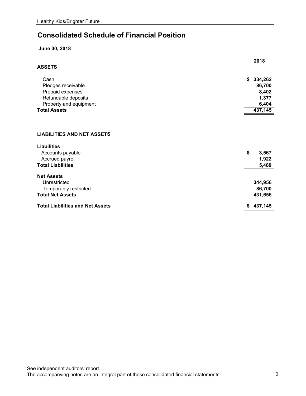# **Consolidated Schedule of Financial Position**

## **June 30, 2018**

| <b>ASSETS</b>                                           | 2018          |
|---------------------------------------------------------|---------------|
| Cash                                                    | \$<br>334,262 |
| Pledges receivable                                      | 86,700        |
| Prepaid expenses                                        | 8,402         |
| Refundable deposits                                     | 1,377         |
| Property and equipment                                  | 6,404         |
| <b>Total Assets</b>                                     | 437,145       |
| <b>LIABILITIES AND NET ASSETS</b><br><b>Liabilities</b> |               |
| Accounts payable                                        | \$<br>3,567   |
| Accrued payroll                                         | 1,922         |
| <b>Total Liabilities</b>                                | 5,489         |
| <b>Net Assets</b>                                       |               |
| Unrestricted                                            | 344,956       |
| Temporarily restricted                                  | 86,700        |
| <b>Total Net Assets</b>                                 | 431,656       |
| <b>Total Liabilities and Net Assets</b>                 | \$<br>437,145 |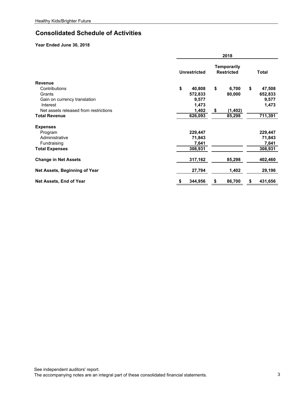## **Consolidated Schedule of Activities**

|                                       |                     | 2018                                    |               |  |  |  |  |  |
|---------------------------------------|---------------------|-----------------------------------------|---------------|--|--|--|--|--|
|                                       | <b>Unrestricted</b> | <b>Temporarily</b><br><b>Restricted</b> | <b>Total</b>  |  |  |  |  |  |
| <b>Revenue</b>                        |                     |                                         |               |  |  |  |  |  |
| Contributions                         | \$<br>40,808        | \$<br>6,700                             | \$<br>47,508  |  |  |  |  |  |
| Grants                                | 572,833             | 80,000                                  | 652,833       |  |  |  |  |  |
| Gain on currency translation          | 9,577               |                                         | 9,577         |  |  |  |  |  |
| Interest                              | 1,473               |                                         | 1,473         |  |  |  |  |  |
| Net assets released from restrictions | 1,402               | (1, 402)<br>S                           |               |  |  |  |  |  |
| <b>Total Revenue</b>                  | 626,093             | 85,298                                  | 711,391       |  |  |  |  |  |
| <b>Expenses</b>                       |                     |                                         |               |  |  |  |  |  |
| Program                               | 229,447             |                                         | 229,447       |  |  |  |  |  |
| Administrative                        | 71,843              |                                         | 71,843        |  |  |  |  |  |
| Fundraising                           | 7,641               |                                         | 7,641         |  |  |  |  |  |
| <b>Total Expenses</b>                 | 308,931             |                                         | 308,931       |  |  |  |  |  |
| <b>Change in Net Assets</b>           | 317,162             | 85,298                                  | 402,460       |  |  |  |  |  |
| Net Assets, Beginning of Year         | 27,794              | 1,402                                   | 29,196        |  |  |  |  |  |
| Net Assets, End of Year               | 344,956<br>\$       | 86,700<br>\$                            | \$<br>431,656 |  |  |  |  |  |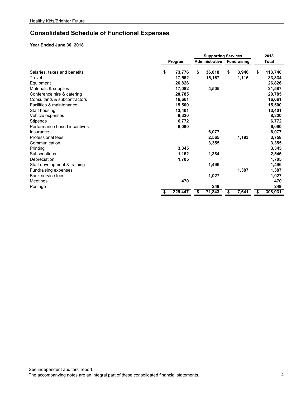# **Consolidated Schedule of Functional Expenses**

|                              |    |         |    | <b>Supporting Services</b> |    |                    |    | 2018         |  |
|------------------------------|----|---------|----|----------------------------|----|--------------------|----|--------------|--|
|                              |    | Program |    | <b>Administrative</b>      |    | <b>Fundraising</b> |    | <b>Total</b> |  |
| Salaries, taxes and benefits | \$ | 73,776  | \$ | 36,018                     | \$ | 3,946              | \$ | 113,740      |  |
| Travel                       |    | 17,552  |    | 15,167                     |    | 1,115              |    | 33,834       |  |
| Equipment                    |    | 26,826  |    |                            |    |                    |    | 26,826       |  |
| Materials & supplies         |    | 17,082  |    | 4,505                      |    |                    |    | 21,587       |  |
| Conference hire & catering   |    | 20,785  |    |                            |    |                    |    | 20,785       |  |
| Consultants & subcontractors |    | 16,661  |    |                            |    |                    |    | 16,661       |  |
| Facilities & maintenance     |    | 15,500  |    |                            |    |                    |    | 15,500       |  |
| Staff housing                |    | 13,401  |    |                            |    |                    |    | 13,401       |  |
| Vehicle expenses             |    | 8,320   |    |                            |    |                    |    | 8,320        |  |
| Stipends                     |    | 6,772   |    |                            |    |                    |    | 6,772        |  |
| Performance based incentives |    | 6,090   |    |                            |    |                    |    | 6,090        |  |
| Insurance                    |    |         |    | 6,077                      |    |                    |    | 6,077        |  |
| <b>Professional fees</b>     |    |         |    | 2,565                      |    | 1,193              |    | 3,758        |  |
| Communication                |    |         |    | 3,355                      |    |                    |    | 3,355        |  |
| Printing                     |    | 3,345   |    |                            |    |                    |    | 3,345        |  |
| Subscriptions                |    | 1,162   |    | 1,384                      |    |                    |    | 2,546        |  |
| Depreciation                 |    | 1,705   |    |                            |    |                    |    | 1,705        |  |
| Staff development & training |    |         |    | 1,496                      |    |                    |    | 1,496        |  |
| Fundraising expenses         |    |         |    |                            |    | 1,387              |    | 1,387        |  |
| Bank service fees            |    |         |    | 1,027                      |    |                    |    | 1,027        |  |
| Meetings                     |    | 470     |    |                            |    |                    |    | 470          |  |
| Postage                      |    |         |    | 249                        |    |                    |    | 249          |  |
|                              |    | 229,447 | \$ | 71,843                     | \$ | 7,641              | \$ | 308,931      |  |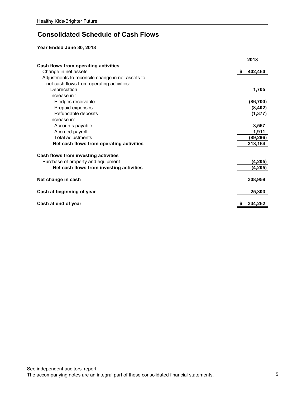# **Consolidated Schedule of Cash Flows**

|                                                  | 2018          |
|--------------------------------------------------|---------------|
| Cash flows from operating activities             |               |
| Change in net assets                             | 402,460<br>\$ |
| Adjustments to reconcile change in net assets to |               |
| net cash flows from operating activities:        |               |
| Depreciation                                     | 1,705         |
| Increase in:                                     |               |
| Pledges receivable                               | (86, 700)     |
| Prepaid expenses                                 | (8, 402)      |
| Refundable deposits                              | (1, 377)      |
| Increase in:                                     |               |
| Accounts payable                                 | 3,567         |
| Accrued payroll                                  | 1,911         |
| Total adjustments                                | (89, 296)     |
| Net cash flows from operating activities         | 313,164       |
| Cash flows from investing activities             |               |
| Purchase of property and equipment               | (4, 205)      |
| Net cash flows from investing activities         | (4, 205)      |
|                                                  |               |
| Net change in cash                               | 308,959       |
| Cash at beginning of year                        | 25,303        |
| Cash at end of year                              | 334,262       |
|                                                  |               |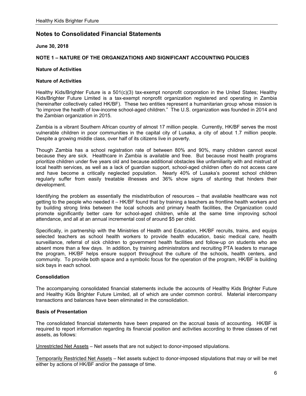**June 30, 2018** 

#### **NOTE 1 – NATURE OF THE ORGANIZATIONS AND SIGNIFICANT ACCOUNTING POLICIES**

#### **Nature of Activities**

#### **Nature of Activities**

Healthy Kids/Brighter Future is a 501(c)(3) tax-exempt nonprofit corporation in the United States; Healthy Kids/Brighter Future Limited is a tax-exempt nonprofit organization registered and operating in Zambia (hereinafter collectively called HK/BF). These two entities represent a humanitarian group whose mission is "to improve the health of low-income school-aged children." The U.S. organization was founded in 2014 and the Zambian organization in 2015.

Zambia is a vibrant Southern African country of almost 17 million people. Currently, HK/BF serves the most vulnerable children in poor communities in the capital city of Lusaka, a city of about 1.7 million people. Despite a growing middle class, over half of its citizens live in poverty.

Though Zambia has a school registration rate of between 80% and 90%, many children cannot excel because they are sick. Healthcare in Zambia is available and free. But because most health programs prioritize children under five years old and because additional obstacles like unfamiliarity with and mistrust of local health services, as well as a lack of guardian support, school-aged children often do not access care and have become a critically neglected population. Nearly 40% of Lusaka's poorest school children regularly suffer from easily treatable illnesses and 36% show signs of stunting that hinders their development.

Identifying the problem as essentially the misdistribution of resources – that available healthcare was not getting to the people who needed it – HK/BF found that by training a teachers as frontline health workers and by building strong links between the local schools and primary health facilities, the Organization could promote significantly better care for school-aged children, while at the same time improving school attendance, and all at an annual incremental cost of around \$5 per child.

Specifically, in partnership with the Ministries of Health and Education, HK/BF recruits, trains, and equips selected teachers as school health workers to provide health education, basic medical care, health surveillance, referral of sick children to government health facilities and follow-up on students who are absent more than a few days. In addition, by training administrators and recruiting PTA leaders to manage the program, HK/BF helps ensure support throughout the culture of the schools, health centers, and community. To provide both space and a symbolic focus for the operation of the program, HK/BF is building sick bays in each school.

#### **Consolidation**

The accompanying consolidated financial statements include the accounts of Healthy Kids Brighter Future and Healthy Kids Brighter Future Limited, all of which are under common control. Material intercompany transactions and balances have been eliminated in the consolidation.

#### **Basis of Presentation**

The consolidated financial statements have been prepared on the accrual basis of accounting. HK/BF is required to report information regarding its financial position and activities according to three classes of net assets, as follows:

Unrestricted Net Assets – Net assets that are not subject to donor-imposed stipulations.

Temporarily Restricted Net Assets – Net assets subject to donor-imposed stipulations that may or will be met either by actions of HK/BF and/or the passage of time.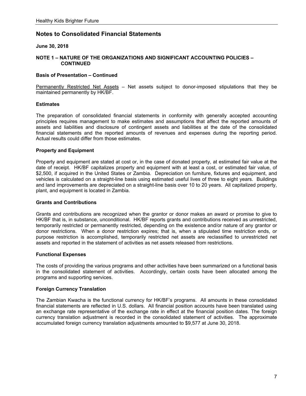#### **June 30, 2018**

#### **NOTE 1 – NATURE OF THE ORGANIZATIONS AND SIGNIFICANT ACCOUNTING POLICIES – CONTINUED**

#### **Basis of Presentation – Continued**

Permanently Restricted Net Assets – Net assets subject to donor-imposed stipulations that they be maintained permanently by HK/BF.

#### **Estimates**

The preparation of consolidated financial statements in conformity with generally accepted accounting principles requires management to make estimates and assumptions that affect the reported amounts of assets and liabilities and disclosure of contingent assets and liabilities at the date of the consolidated financial statements and the reported amounts of revenues and expenses during the reporting period. Actual results could differ from those estimates.

#### **Property and Equipment**

Property and equipment are stated at cost or, in the case of donated property, at estimated fair value at the date of receipt. HK/BF capitalizes property and equipment with at least a cost, or estimated fair value, of \$2,500, if acquired in the United States or Zambia. Depreciation on furniture, fixtures and equipment, and vehicles is calculated on a straight-line basis using estimated useful lives of three to eight years. Buildings and land improvements are depreciated on a straight-line basis over 10 to 20 years. All capitalized property, plant, and equipment is located in Zambia.

#### **Grants and Contributions**

Grants and contributions are recognized when the grantor or donor makes an award or promise to give to HK/BF that is, in substance, unconditional. HK/BF reports grants and contributions received as unrestricted, temporarily restricted or permanently restricted, depending on the existence and/or nature of any grantor or donor restrictions. When a donor restriction expires; that is, when a stipulated time restriction ends, or purpose restriction is accomplished, temporarily restricted net assets are reclassified to unrestricted net assets and reported in the statement of activities as net assets released from restrictions.

#### **Functional Expenses**

The costs of providing the various programs and other activities have been summarized on a functional basis in the consolidated statement of activities. Accordingly, certain costs have been allocated among the programs and supporting services.

#### **Foreign Currency Translation**

The Zambian Kwacha is the functional currency for HK/BF's programs. All amounts in these consolidated financial statements are reflected in U.S. dollars. All financial position accounts have been translated using an exchange rate representative of the exchange rate in effect at the financial position dates. The foreign currency translation adjustment is recorded in the consolidated statement of activities. The approximate accumulated foreign currency translation adjustments amounted to \$9,577 at June 30, 2018.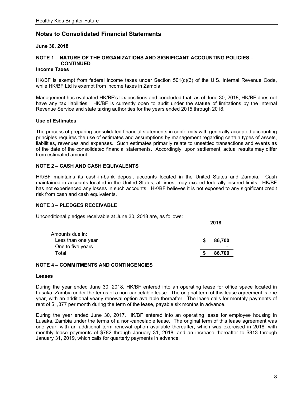#### **June 30, 2018**

## **NOTE 1 – NATURE OF THE ORGANIZATIONS AND SIGNIFICANT ACCOUNTING POLICIES – CONTINUED**

#### **Income Taxes**

 HK/BF is exempt from federal income taxes under Section 501(c)(3) of the U.S. Internal Revenue Code, while HK/BF Ltd is exempt from income taxes in Zambia.

Management has evaluated HK/BF's tax positions and concluded that, as of June 30, 2018, HK/BF does not have any tax liabilities. HK/BF is currently open to audit under the statute of limitations by the Internal Revenue Service and state taxing authorities for the years ended 2015 through 2018.

#### **Use of Estimates**

The process of preparing consolidated financial statements in conformity with generally accepted accounting principles requires the use of estimates and assumptions by management regarding certain types of assets, liabilities, revenues and expenses. Such estimates primarily relate to unsettled transactions and events as of the date of the consolidated financial statements. Accordingly, upon settlement, actual results may differ from estimated amount.

#### **NOTE 2 – CASH AND CASH EQUIVALENTS**

HK/BF maintains its cash-in-bank deposit accounts located in the United States and Zambia. Cash maintained in accounts located in the United States, at times, may exceed federally insured limits. HK/BF has not experienced any losses in such accounts. HK/BF believes it is not exposed to any significant credit risk from cash and cash equivalents.

**2018** 

#### **NOTE 3 – PLEDGES RECEIVABLE**

Unconditional pledges receivable at June 30, 2018 are, as follows:

|                    | 47 I V |                          |  |
|--------------------|--------|--------------------------|--|
| Amounts due in:    |        |                          |  |
| Less than one year | S      | 86,700                   |  |
| One to five years  |        | $\overline{\phantom{0}}$ |  |
| Total              |        | 86,700                   |  |
|                    |        |                          |  |

#### **NOTE 4 – COMMITMENTS AND CONTINGENCIES**

#### **Leases**

During the year ended June 30, 2018, HK/BF entered into an operating lease for office space located in Lusaka, Zambia under the terms of a non-cancelable lease. The original term of this lease agreement is one year, with an additional yearly renewal option available thereafter. The lease calls for monthly payments of rent of \$1,377 per month during the term of the lease, payable six months in advance.

During the year ended June 30, 2017, HK/BF entered into an operating lease for employee housing in Lusaka, Zambia under the terms of a non-cancelable lease. The original term of this lease agreement was one year, with an additional term renewal option available thereafter, which was exercised in 2018, with monthly lease payments of \$782 through January 31, 2018, and an increase thereafter to \$813 through January 31, 2019, which calls for quarterly payments in advance.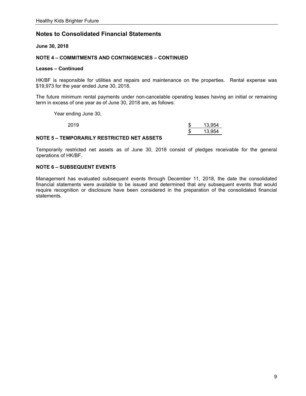**June 30, 2018** 

#### **NOTE 4 – COMMITMENTS AND CONTINGENCIES – CONTINUED**

#### **Leases – Continued**

HK/BF is responsible for utilities and repairs and maintenance on the properties. Rental expense was \$19,973 for the year ended June 30, 2018.

The future minimum rental payments under non-cancelable operating leases having an initial or remaining term in excess of one year as of June 30, 2018 are, as follows:

Year ending June 30,

| 2019 | റ<br>ж. | 13,954 |
|------|---------|--------|
|      | \$.     | 13,954 |

#### **NOTE 5 – TEMPORARILY RESTRICTED NET ASSETS**

Temporarily restricted net assets as of June 30, 2018 consist of pledges receivable for the general operations of HK/BF.

#### **NOTE 6 – SUBSEQUENT EVENTS**

Management has evaluated subsequent events through December 11, 2018, the date the consolidated financial statements were available to be issued and determined that any subsequent events that would require recognition or disclosure have been considered in the preparation of the consolidated financial statements.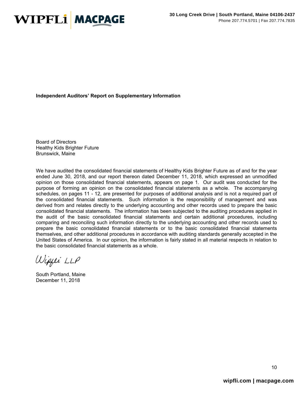

**Independent Auditors' Report on Supplementary Information** 

Board of Directors Healthy Kids Brighter Future Brunswick, Maine

We have audited the consolidated financial statements of Healthy Kids Brighter Future as of and for the year ended June 30, 2018, and our report thereon dated December 11, 2018, which expressed an unmodified opinion on those consolidated financial statements, appears on page 1. Our audit was conducted for the purpose of forming an opinion on the consolidated financial statements as a whole. The accompanying schedules, on pages 11 - 12, are presented for purposes of additional analysis and is not a required part of the consolidated financial statements. Such information is the responsibility of management and was derived from and relates directly to the underlying accounting and other records used to prepare the basic consolidated financial statements. The information has been subjected to the auditing procedures applied in the audit of the basic consolidated financial statements and certain additional procedures, including comparing and reconciling such information directly to the underlying accounting and other records used to prepare the basic consolidated financial statements or to the basic consolidated financial statements themselves, and other additional procedures in accordance with auditing standards generally accepted in the United States of America. In our opinion, the information is fairly stated in all material respects in relation to the basic consolidated financial statements as a whole.

Wippi LLP

South Portland, Maine December 11, 2018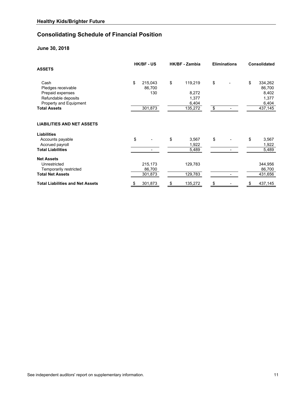# **Consolidating Schedule of Financial Position**

## **June 30, 2018**

| <b>ASSETS</b>                                                                                                          | <b>HK/BF - US</b>                         | HK/BF - Zambia                                      |          | <b>Eliminations</b> | Consolidated                                                  |
|------------------------------------------------------------------------------------------------------------------------|-------------------------------------------|-----------------------------------------------------|----------|---------------------|---------------------------------------------------------------|
| Cash<br>Pledges receivable<br>Prepaid expenses<br>Refundable deposits<br>Property and Equipment<br><b>Total Assets</b> | \$<br>215,043<br>86,700<br>130<br>301,873 | \$<br>119,219<br>8,272<br>1,377<br>6,404<br>135,272 | \$<br>\$ |                     | \$<br>334,262<br>86,700<br>8,402<br>1,377<br>6,404<br>437,145 |
| <b>LIABILITIES AND NET ASSETS</b>                                                                                      |                                           |                                                     |          |                     |                                                               |
| <b>Liabilities</b>                                                                                                     |                                           |                                                     |          |                     |                                                               |
| Accounts payable<br>Accrued payroll                                                                                    | \$                                        | \$<br>3,567<br>1,922                                | \$       |                     | \$<br>3,567<br>1,922                                          |
| <b>Total Liabilities</b>                                                                                               |                                           | 5,489                                               |          |                     | 5,489                                                         |
| <b>Net Assets</b>                                                                                                      |                                           |                                                     |          |                     |                                                               |
| Unrestricted                                                                                                           | 215,173                                   | 129,783                                             |          |                     | 344,956                                                       |
| Temporarily restricted                                                                                                 | 86,700                                    |                                                     |          |                     | 86,700                                                        |
| <b>Total Net Assets</b>                                                                                                | 301,873                                   | 129,783                                             |          |                     | 431,656                                                       |
| <b>Total Liabilities and Net Assets</b>                                                                                | \$<br>301,873                             | \$<br>135,272                                       | \$       |                     | \$<br>437,145                                                 |